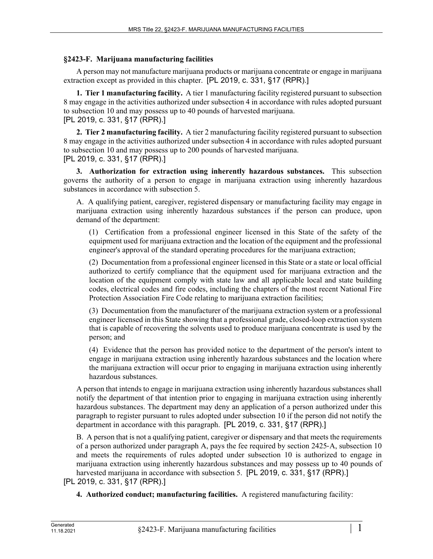## **§2423-F. Marijuana manufacturing facilities**

A person may not manufacture marijuana products or marijuana concentrate or engage in marijuana extraction except as provided in this chapter. [PL 2019, c. 331, §17 (RPR).]

**1. Tier 1 manufacturing facility.** A tier 1 manufacturing facility registered pursuant to subsection 8 may engage in the activities authorized under subsection 4 in accordance with rules adopted pursuant to subsection 10 and may possess up to 40 pounds of harvested marijuana. [PL 2019, c. 331, §17 (RPR).]

**2. Tier 2 manufacturing facility.** A tier 2 manufacturing facility registered pursuant to subsection 8 may engage in the activities authorized under subsection 4 in accordance with rules adopted pursuant to subsection 10 and may possess up to 200 pounds of harvested marijuana. [PL 2019, c. 331, §17 (RPR).]

**3. Authorization for extraction using inherently hazardous substances.** This subsection governs the authority of a person to engage in marijuana extraction using inherently hazardous substances in accordance with subsection 5.

A. A qualifying patient, caregiver, registered dispensary or manufacturing facility may engage in marijuana extraction using inherently hazardous substances if the person can produce, upon demand of the department:

(1) Certification from a professional engineer licensed in this State of the safety of the equipment used for marijuana extraction and the location of the equipment and the professional engineer's approval of the standard operating procedures for the marijuana extraction;

(2) Documentation from a professional engineer licensed in this State or a state or local official authorized to certify compliance that the equipment used for marijuana extraction and the location of the equipment comply with state law and all applicable local and state building codes, electrical codes and fire codes, including the chapters of the most recent National Fire Protection Association Fire Code relating to marijuana extraction facilities;

(3) Documentation from the manufacturer of the marijuana extraction system or a professional engineer licensed in this State showing that a professional grade, closed-loop extraction system that is capable of recovering the solvents used to produce marijuana concentrate is used by the person; and

(4) Evidence that the person has provided notice to the department of the person's intent to engage in marijuana extraction using inherently hazardous substances and the location where the marijuana extraction will occur prior to engaging in marijuana extraction using inherently hazardous substances.

A person that intends to engage in marijuana extraction using inherently hazardous substances shall notify the department of that intention prior to engaging in marijuana extraction using inherently hazardous substances. The department may deny an application of a person authorized under this paragraph to register pursuant to rules adopted under subsection 10 if the person did not notify the department in accordance with this paragraph. [PL 2019, c. 331, §17 (RPR).]

B. A person that is not a qualifying patient, caregiver or dispensary and that meets the requirements of a person authorized under paragraph A, pays the fee required by section 2425‑A, subsection 10 and meets the requirements of rules adopted under subsection 10 is authorized to engage in marijuana extraction using inherently hazardous substances and may possess up to 40 pounds of harvested marijuana in accordance with subsection 5. [PL 2019, c. 331, §17 (RPR).]

[PL 2019, c. 331, §17 (RPR).]

**4. Authorized conduct; manufacturing facilities.** A registered manufacturing facility: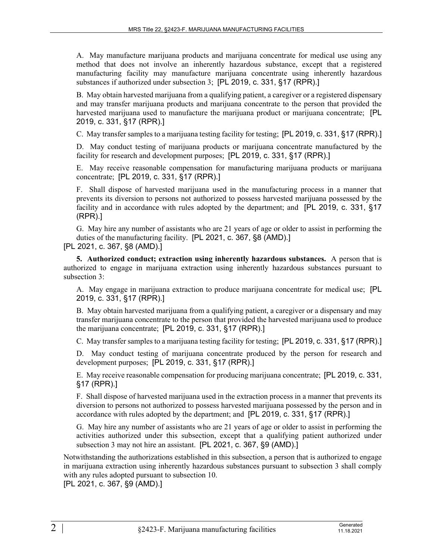A. May manufacture marijuana products and marijuana concentrate for medical use using any method that does not involve an inherently hazardous substance, except that a registered manufacturing facility may manufacture marijuana concentrate using inherently hazardous substances if authorized under subsection 3; [PL 2019, c. 331, §17 (RPR).]

B. May obtain harvested marijuana from a qualifying patient, a caregiver or a registered dispensary and may transfer marijuana products and marijuana concentrate to the person that provided the harvested marijuana used to manufacture the marijuana product or marijuana concentrate; [PL 2019, c. 331, §17 (RPR).]

C. May transfer samples to a marijuana testing facility for testing; [PL 2019, c. 331, §17 (RPR).]

D. May conduct testing of marijuana products or marijuana concentrate manufactured by the facility for research and development purposes; [PL 2019, c. 331, §17 (RPR).]

E. May receive reasonable compensation for manufacturing marijuana products or marijuana concentrate; [PL 2019, c. 331, §17 (RPR).]

F. Shall dispose of harvested marijuana used in the manufacturing process in a manner that prevents its diversion to persons not authorized to possess harvested marijuana possessed by the facility and in accordance with rules adopted by the department; and [PL 2019, c. 331, §17 (RPR).]

G. May hire any number of assistants who are 21 years of age or older to assist in performing the duties of the manufacturing facility. [PL 2021, c. 367, §8 (AMD).] [PL 2021, c. 367, §8 (AMD).]

**5. Authorized conduct; extraction using inherently hazardous substances.** A person that is authorized to engage in marijuana extraction using inherently hazardous substances pursuant to subsection 3:

A. May engage in marijuana extraction to produce marijuana concentrate for medical use; [PL 2019, c. 331, §17 (RPR).]

B. May obtain harvested marijuana from a qualifying patient, a caregiver or a dispensary and may transfer marijuana concentrate to the person that provided the harvested marijuana used to produce the marijuana concentrate; [PL 2019, c. 331, §17 (RPR).]

C. May transfer samples to a marijuana testing facility for testing; [PL 2019, c. 331, §17 (RPR).]

D. May conduct testing of marijuana concentrate produced by the person for research and development purposes; [PL 2019, c. 331, §17 (RPR).]

E. May receive reasonable compensation for producing marijuana concentrate; [PL 2019, c. 331, §17 (RPR).]

F. Shall dispose of harvested marijuana used in the extraction process in a manner that prevents its diversion to persons not authorized to possess harvested marijuana possessed by the person and in accordance with rules adopted by the department; and [PL 2019, c. 331, §17 (RPR).]

G. May hire any number of assistants who are 21 years of age or older to assist in performing the activities authorized under this subsection, except that a qualifying patient authorized under subsection 3 may not hire an assistant. [PL 2021, c. 367, §9 (AMD).]

Notwithstanding the authorizations established in this subsection, a person that is authorized to engage in marijuana extraction using inherently hazardous substances pursuant to subsection 3 shall comply with any rules adopted pursuant to subsection 10.

[PL 2021, c. 367, §9 (AMD).]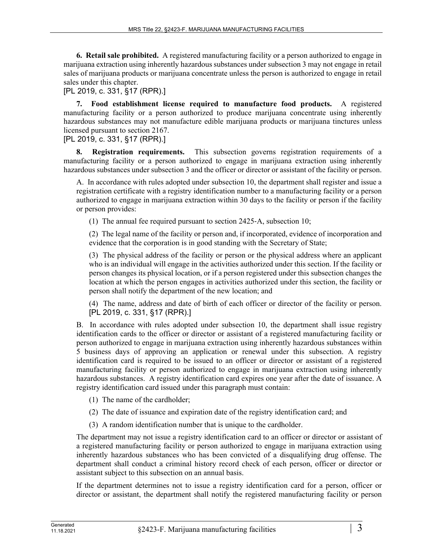**6. Retail sale prohibited.** A registered manufacturing facility or a person authorized to engage in marijuana extraction using inherently hazardous substances under subsection 3 may not engage in retail sales of marijuana products or marijuana concentrate unless the person is authorized to engage in retail sales under this chapter.

[PL 2019, c. 331, §17 (RPR).]

**7. Food establishment license required to manufacture food products.** A registered manufacturing facility or a person authorized to produce marijuana concentrate using inherently hazardous substances may not manufacture edible marijuana products or marijuana tinctures unless licensed pursuant to section 2167.

[PL 2019, c. 331, §17 (RPR).]

**8. Registration requirements.** This subsection governs registration requirements of a manufacturing facility or a person authorized to engage in marijuana extraction using inherently hazardous substances under subsection 3 and the officer or director or assistant of the facility or person.

A. In accordance with rules adopted under subsection 10, the department shall register and issue a registration certificate with a registry identification number to a manufacturing facility or a person authorized to engage in marijuana extraction within 30 days to the facility or person if the facility or person provides:

(1) The annual fee required pursuant to section 2425‑A, subsection 10;

(2) The legal name of the facility or person and, if incorporated, evidence of incorporation and evidence that the corporation is in good standing with the Secretary of State;

(3) The physical address of the facility or person or the physical address where an applicant who is an individual will engage in the activities authorized under this section. If the facility or person changes its physical location, or if a person registered under this subsection changes the location at which the person engages in activities authorized under this section, the facility or person shall notify the department of the new location; and

(4) The name, address and date of birth of each officer or director of the facility or person. [PL 2019, c. 331, §17 (RPR).]

B. In accordance with rules adopted under subsection 10, the department shall issue registry identification cards to the officer or director or assistant of a registered manufacturing facility or person authorized to engage in marijuana extraction using inherently hazardous substances within 5 business days of approving an application or renewal under this subsection. A registry identification card is required to be issued to an officer or director or assistant of a registered manufacturing facility or person authorized to engage in marijuana extraction using inherently hazardous substances. A registry identification card expires one year after the date of issuance. A registry identification card issued under this paragraph must contain:

- (1) The name of the cardholder;
- (2) The date of issuance and expiration date of the registry identification card; and
- (3) A random identification number that is unique to the cardholder.

The department may not issue a registry identification card to an officer or director or assistant of a registered manufacturing facility or person authorized to engage in marijuana extraction using inherently hazardous substances who has been convicted of a disqualifying drug offense. The department shall conduct a criminal history record check of each person, officer or director or assistant subject to this subsection on an annual basis.

If the department determines not to issue a registry identification card for a person, officer or director or assistant, the department shall notify the registered manufacturing facility or person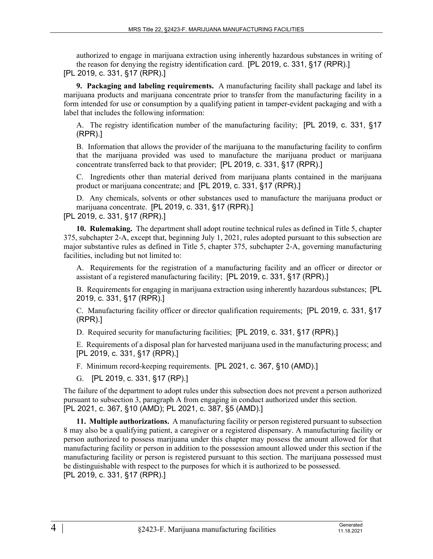authorized to engage in marijuana extraction using inherently hazardous substances in writing of the reason for denying the registry identification card. [PL 2019, c. 331, §17 (RPR).] [PL 2019, c. 331, §17 (RPR).]

**9. Packaging and labeling requirements.** A manufacturing facility shall package and label its marijuana products and marijuana concentrate prior to transfer from the manufacturing facility in a form intended for use or consumption by a qualifying patient in tamper-evident packaging and with a label that includes the following information:

A. The registry identification number of the manufacturing facility; [PL 2019, c. 331, §17 (RPR).]

B. Information that allows the provider of the marijuana to the manufacturing facility to confirm that the marijuana provided was used to manufacture the marijuana product or marijuana concentrate transferred back to that provider; [PL 2019, c. 331, §17 (RPR).]

C. Ingredients other than material derived from marijuana plants contained in the marijuana product or marijuana concentrate; and [PL 2019, c. 331, §17 (RPR).]

D. Any chemicals, solvents or other substances used to manufacture the marijuana product or marijuana concentrate. [PL 2019, c. 331, §17 (RPR).] [PL 2019, c. 331, §17 (RPR).]

**10. Rulemaking.** The department shall adopt routine technical rules as defined in Title 5, chapter 375, subchapter 2‑A, except that, beginning July 1, 2021, rules adopted pursuant to this subsection are major substantive rules as defined in Title 5, chapter 375, subchapter 2‑A, governing manufacturing facilities, including but not limited to:

A. Requirements for the registration of a manufacturing facility and an officer or director or assistant of a registered manufacturing facility; [PL 2019, c. 331, §17 (RPR).]

B. Requirements for engaging in marijuana extraction using inherently hazardous substances; [PL 2019, c. 331, §17 (RPR).]

C. Manufacturing facility officer or director qualification requirements; [PL 2019, c. 331, §17 (RPR).]

D. Required security for manufacturing facilities; [PL 2019, c. 331, §17 (RPR).]

E. Requirements of a disposal plan for harvested marijuana used in the manufacturing process; and [PL 2019, c. 331, §17 (RPR).]

F. Minimum record-keeping requirements. [PL 2021, c. 367, §10 (AMD).]

G. [PL 2019, c. 331, §17 (RP).]

The failure of the department to adopt rules under this subsection does not prevent a person authorized pursuant to subsection 3, paragraph A from engaging in conduct authorized under this section. [PL 2021, c. 367, §10 (AMD); PL 2021, c. 387, §5 (AMD).]

**11. Multiple authorizations.** A manufacturing facility or person registered pursuant to subsection 8 may also be a qualifying patient, a caregiver or a registered dispensary. A manufacturing facility or person authorized to possess marijuana under this chapter may possess the amount allowed for that manufacturing facility or person in addition to the possession amount allowed under this section if the manufacturing facility or person is registered pursuant to this section. The marijuana possessed must be distinguishable with respect to the purposes for which it is authorized to be possessed. [PL 2019, c. 331, §17 (RPR).]